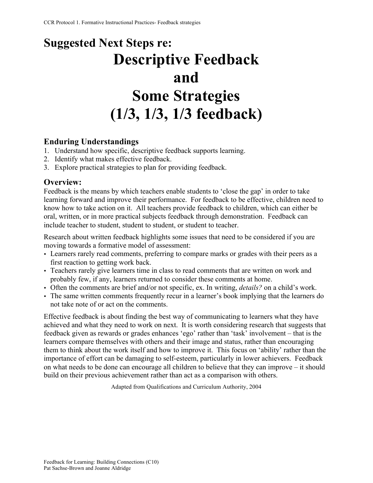# **Suggested Next Steps re: Descriptive Feedback and Some Strategies (1/3, 1/3, 1/3 feedback)**

# **Enduring Understandings**

- 1. Understand how specific, descriptive feedback supports learning.
- 2. Identify what makes effective feedback.
- 3. Explore practical strategies to plan for providing feedback.

# **Overview:**

Feedback is the means by which teachers enable students to 'close the gap' in order to take learning forward and improve their performance. For feedback to be effective, children need to know how to take action on it. All teachers provide feedback to children, which can either be oral, written, or in more practical subjects feedback through demonstration. Feedback can include teacher to student, student to student, or student to teacher.

Research about written feedback highlights some issues that need to be considered if you are moving towards a formative model of assessment:

- Learners rarely read comments, preferring to compare marks or grades with their peers as a first reaction to getting work back.
- Teachers rarely give learners time in class to read comments that are written on work and probably few, if any, learners returned to consider these comments at home.
- Often the comments are brief and/or not specific, ex. In writing, *details?* on a child's work.
- The same written comments frequently recur in a learner's book implying that the learners do not take note of or act on the comments.

Effective feedback is about finding the best way of communicating to learners what they have achieved and what they need to work on next. It is worth considering research that suggests that feedback given as rewards or grades enhances 'ego' rather than 'task' involvement – that is the learners compare themselves with others and their image and status, rather than encouraging them to think about the work itself and how to improve it. This focus on 'ability' rather than the importance of effort can be damaging to self-esteem, particularly in lower achievers. Feedback on what needs to be done can encourage all children to believe that they can improve – it should build on their previous achievement rather than act as a comparison with others.

Adapted from Qualifications and Curriculum Authority, 2004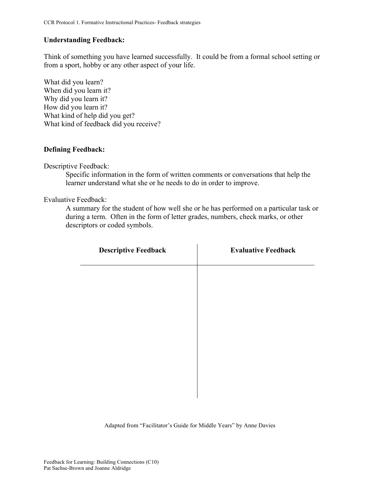#### **Understanding Feedback:**

Think of something you have learned successfully. It could be from a formal school setting or from a sport, hobby or any other aspect of your life.

What did you learn? When did you learn it? Why did you learn it? How did you learn it? What kind of help did you get? What kind of feedback did you receive?

#### **Defining Feedback:**

Descriptive Feedback:

Specific information in the form of written comments or conversations that help the learner understand what she or he needs to do in order to improve.

Evaluative Feedback:

A summary for the student of how well she or he has performed on a particular task or during a term. Often in the form of letter grades, numbers, check marks, or other descriptors or coded symbols.

| <b>Descriptive Feedback</b> | <b>Evaluative Feedback</b> |
|-----------------------------|----------------------------|
|                             |                            |
|                             |                            |
|                             |                            |
|                             |                            |
|                             |                            |
|                             |                            |
|                             |                            |

Adapted from "Facilitator's Guide for Middle Years" by Anne Davies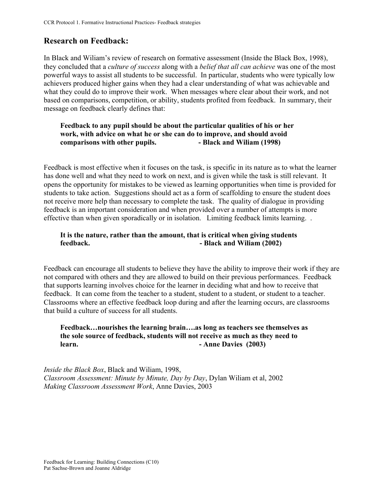# **Research on Feedback:**

In Black and Wiliam's review of research on formative assessment (Inside the Black Box, 1998), they concluded that a *culture of success* along with a *belief that all can achieve* was one of the most powerful ways to assist all students to be successful. In particular, students who were typically low achievers produced higher gains when they had a clear understanding of what was achievable and what they could do to improve their work. When messages where clear about their work, and not based on comparisons, competition, or ability, students profited from feedback. In summary, their message on feedback clearly defines that:

# **Feedback to any pupil should be about the particular qualities of his or her work, with advice on what he or she can do to improve, and should avoid comparisons with other pupils. - Black and Wiliam (1998)**

Feedback is most effective when it focuses on the task, is specific in its nature as to what the learner has done well and what they need to work on next, and is given while the task is still relevant. It opens the opportunity for mistakes to be viewed as learning opportunities when time is provided for students to take action. Suggestions should act as a form of scaffolding to ensure the student does not receive more help than necessary to complete the task. The quality of dialogue in providing feedback is an important consideration and when provided over a number of attempts is more effective than when given sporadically or in isolation. Limiting feedback limits learning. .

# **It is the nature, rather than the amount, that is critical when giving students feedback. - Black and Wiliam (2002)**

Feedback can encourage all students to believe they have the ability to improve their work if they are not compared with others and they are allowed to build on their previous performances. Feedback that supports learning involves choice for the learner in deciding what and how to receive that feedback. It can come from the teacher to a student, student to a student, or student to a teacher. Classrooms where an effective feedback loop during and after the learning occurs, are classrooms that build a culture of success for all students.

# **Feedback…nourishes the learning brain….as long as teachers see themselves as the sole source of feedback, students will not receive as much as they need to learn. - Anne Davies (2003)**

*Inside the Black Box*, Black and Wiliam, 1998, *Classroom Assessment: Minute by Minute, Day by Day*, Dylan Wiliam et al, 2002 *Making Classroom Assessment Work*, Anne Davies, 2003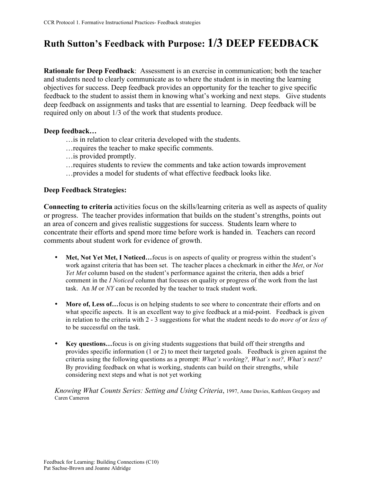# **Ruth Sutton's Feedback with Purpose: 1/3 DEEP FEEDBACK**

**Rationale for Deep Feedback**: Assessment is an exercise in communication; both the teacher and students need to clearly communicate as to where the student is in meeting the learning objectives for success. Deep feedback provides an opportunity for the teacher to give specific feedback to the student to assist them in knowing what's working and next steps. Give students deep feedback on assignments and tasks that are essential to learning. Deep feedback will be required only on about 1/3 of the work that students produce.

#### **Deep feedback…**

- …is in relation to clear criteria developed with the students.
- …requires the teacher to make specific comments.
- …is provided promptly.
- …requires students to review the comments and take action towards improvement
- …provides a model for students of what effective feedback looks like.

#### **Deep Feedback Strategies:**

**Connecting to criteria** activities focus on the skills/learning criteria as well as aspects of quality or progress. The teacher provides information that builds on the student's strengths, points out an area of concern and gives realistic suggestions for success. Students learn where to concentrate their efforts and spend more time before work is handed in. Teachers can record comments about student work for evidence of growth.

- Met, Not Yet Met, I Noticed...focus is on aspects of quality or progress within the student's work against criteria that has been set. The teacher places a checkmark in either the *Met*, or *Not Yet Met* column based on the student's performance against the criteria, then adds a brief comment in the *I Noticed* column that focuses on quality or progress of the work from the last task. An *M* or *NY* can be recorded by the teacher to track student work.
- More of, Less of...focus is on helping students to see where to concentrate their efforts and on what specific aspects. It is an excellent way to give feedback at a mid-point. Feedback is given in relation to the criteria with 2 - 3 suggestions for what the student needs to do *more of* or *less of* to be successful on the task.
- **Key questions...** focus is on giving students suggestions that build off their strengths and provides specific information (1 or 2) to meet their targeted goals. Feedback is given against the criteria using the following questions as a prompt: *What's working?, What's not?, What's next?* By providing feedback on what is working, students can build on their strengths, while considering next steps and what is not yet working

*Knowing What Counts Series: Setting and Using Criteria*, 1997, Anne Davies, Kathleen Gregory and Caren Cameron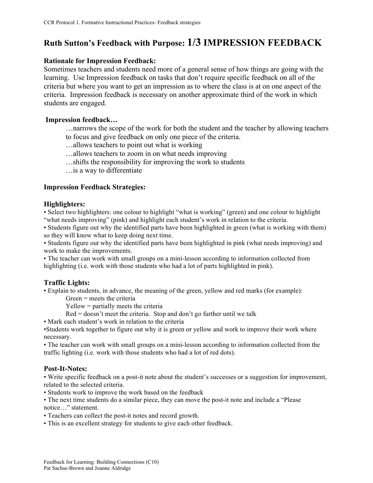# **Ruth Sutton's Feedback with Purpose: 1/3 IMPRESSION FEEDBACK**

#### **Rationale for Impression Feedback:**

Sometimes teachers and students need more of a general sense of how things are going with the learning. Use Impression feedback on tasks that don't require specific feedback on all of the criteria but where you want to get an impression as to where the class is at on one aspect of the criteria. Impression feedback is necessary on another approximate third of the work in which students are engaged.

#### **Impression feedback…**

- …narrows the scope of the work for both the student and the teacher by allowing teachers
- to focus and give feedback on only one piece of the criteria.
- …allows teachers to point out what is working
- …allows teachers to zoom in on what needs improving
- …shifts the responsibility for improving the work to students
- …is a way to differentiate

#### **Impression Feedback Strategies:**

#### **Highlighters:**

• Select two highlighters: one colour to highlight "what is working" (green) and one colour to highlight "what needs improving" (pink) and highlight each student's work in relation to the criteria.

• Students figure out why the identified parts have been highlighted in green (what is working with them) so they will know what to keep doing next time.

• Students figure out why the identified parts have been highlighted in pink (what needs improving) and work to make the improvements.

• The teacher can work with small groups on a mini-lesson according to information collected from highlighting (i.e. work with those students who had a lot of parts highlighted in pink).

#### **Traffic Lights:**

• Explain to students, in advance, the meaning of the green, yellow and red marks (for example):

Green = meets the criteria

Yellow = partially meets the criteria

 $Red = doesn't meet the criteria. Stop and don't go further until we talk$ 

• Mark each student's work in relation to the criteria

•Students work together to figure out why it is green or yellow and work to improve their work where necessary.

• The teacher can work with small groups on a mini-lesson according to information collected from the traffic lighting (i.e. work with those students who had a lot of red dots).

#### **Post-It-Notes:**

• Write specific feedback on a post-it note about the student's successes or a suggestion for improvement, related to the selected criteria.

• Students work to improve the work based on the feedback

• The next time students do a similar piece, they can move the post-it note and include a "Please notice…" statement.

- Teachers can collect the post-it notes and record growth.
- This is an excellent strategy for students to give each other feedback.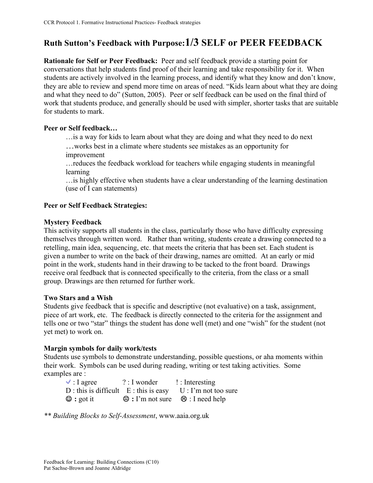# **Ruth Sutton's Feedback with Purpose:1/3 SELF or PEER FEEDBACK**

**Rationale for Self or Peer Feedback:** Peer and self feedback provide a starting point for conversations that help students find proof of their learning and take responsibility for it. When students are actively involved in the learning process, and identify what they know and don't know, they are able to review and spend more time on areas of need. "Kids learn about what they are doing and what they need to do" (Sutton, 2005). Peer or self feedback can be used on the final third of work that students produce, and generally should be used with simpler, shorter tasks that are suitable for students to mark.

### **Peer or Self feedback…**

…is a way for kids to learn about what they are doing and what they need to do next

…works best in a climate where students see mistakes as an opportunity for improvement

…reduces the feedback workload for teachers while engaging students in meaningful learning

…is highly effective when students have a clear understanding of the learning destination (use of I can statements)

# **Peer or Self Feedback Strategies:**

### **Mystery Feedback**

This activity supports all students in the class, particularly those who have difficulty expressing themselves through written word. Rather than writing, students create a drawing connected to a retelling, main idea, sequencing, etc. that meets the criteria that has been set. Each student is given a number to write on the back of their drawing, names are omitted. At an early or mid point in the work, students hand in their drawing to be tacked to the front board. Drawings receive oral feedback that is connected specifically to the criteria, from the class or a small group. Drawings are then returned for further work.

### **Two Stars and a Wish**

Students give feedback that is specific and descriptive (not evaluative) on a task, assignment, piece of art work, etc. The feedback is directly connected to the criteria for the assignment and tells one or two "star" things the student has done well (met) and one "wish" for the student (not yet met) to work on.

# **Margin symbols for daily work/tests**

Students use symbols to demonstrate understanding, possible questions, or aha moments within their work. Symbols can be used during reading, writing or test taking activities. Some examples are :

| $\vee$ : I agree                         | $?$ : I wonder | $\mathsf{I}:$ Interesting                      |
|------------------------------------------|----------------|------------------------------------------------|
| $D:$ this is difficult $E:$ this is easy |                | $U: \Gamma$ m not too sure                     |
| $\odot$ : got it                         |                | $\Theta$ : I'm not sure $\Theta$ : I need help |

*\*\* Building Blocks to Self-Assessment*, www.aaia.org.uk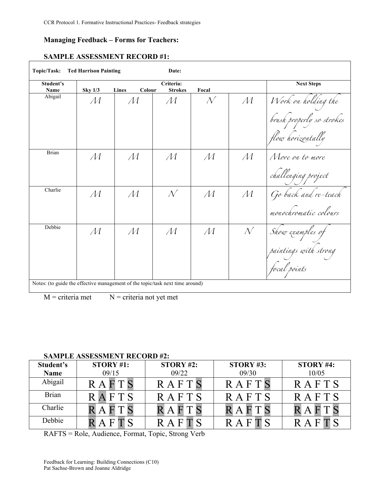#### **Managing Feedback – Forms for Teachers:**

# **SAMPLE ASSESSMENT RECORD #1:**

| Student's<br>Name | <b>Sky 1/3</b> | Colour<br>Lines | Criteria:<br><b>Strokes</b> | Focal         |                 | <b>Next Steps</b>                                                     |
|-------------------|----------------|-----------------|-----------------------------|---------------|-----------------|-----------------------------------------------------------------------|
| Abigail           | M              | $\mathcal M$    | $\mathcal M$                | $\mathcal{N}$ | $\mathcal{M}^-$ | Work on holding the<br>brush properly so strokes<br>flow horizontally |
| Brian             | $\mathcal M$   | $\mathcal M$    | $\mathcal M$                | $\mathcal M$  | $\mathcal M$    | Move on to more<br>challenging project                                |
| Charlie           | M              | $\mathcal M$    | $\mathcal{N}$               | $\mathcal M$  | $\mathcal{M}$   | Go back and re-teach<br>monochromatic colours                         |
| Debbie            | M              | M               | M                           | $\mathcal M$  | $N^-$           | Show examples of<br>paintings with strong<br>focal points             |

 $M =$  criteria met  $N =$  criteria not yet met

#### **SAMPLE ASSESSMENT RECORD #2:**

| Student's    | STORY #1:       | STORY #2:    | <b>STORY #3:</b> | STORY #4:    |
|--------------|-----------------|--------------|------------------|--------------|
| <b>Name</b>  | 09/15           | 09/22        | 09/30            | 10/05        |
| Abigail      | R A             | RAFTS        | RAFTS            | RAFTS        |
| <b>Brian</b> | FTS<br>$\Delta$ | <b>RAFTS</b> | <b>RAFTS</b>     | <b>RAFTS</b> |
| Charlie      |                 |              |                  |              |
| Debbie       |                 |              |                  |              |

RAFTS = Role, Audience, Format, Topic, Strong Verb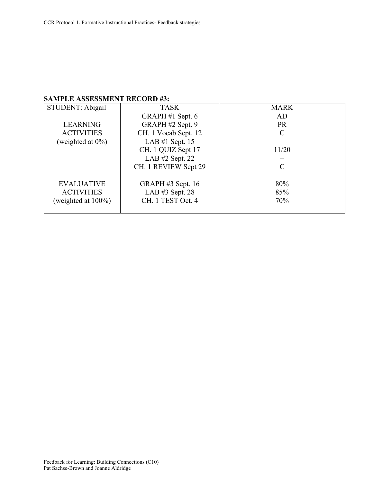# **SAMPLE ASSESSMENT RECORD #3:**

| STUDENT: Abigail       | <b>TASK</b>          | <b>MARK</b> |  |
|------------------------|----------------------|-------------|--|
|                        | GRAPH #1 Sept. 6     | AD          |  |
| <b>LEARNING</b>        | GRAPH #2 Sept. 9     | <b>PR</b>   |  |
| <b>ACTIVITIES</b>      | CH. 1 Vocab Sept. 12 |             |  |
| (weighted at $0\%$ )   | LAB $#1$ Sept. 15    |             |  |
|                        | CH. 1 QUIZ Sept 17   | 11/20       |  |
|                        | LAB $#2$ Sept. 22    |             |  |
|                        | CH. 1 REVIEW Sept 29 |             |  |
|                        |                      |             |  |
| <b>EVALUATIVE</b>      | GRAPH $#3$ Sept. 16  | 80%         |  |
| <b>ACTIVITIES</b>      | LAB $#3$ Sept. 28    | 85%         |  |
| (weighted at $100\%$ ) | CH. 1 TEST Oct. 4    | 70%         |  |
|                        |                      |             |  |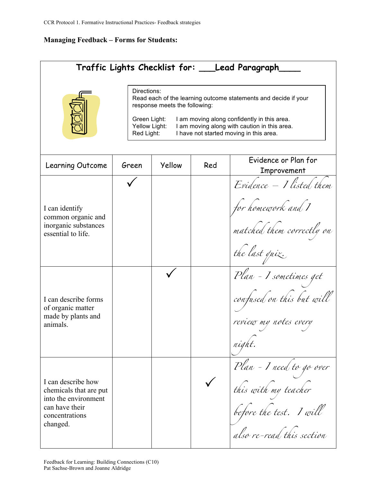# **Managing Feedback – Forms for Students:**

| Traffic Lights Checklist for: ___Lead Paragraph_                                                                                                                                                                                                                                                         |       |        |     |                                                                                                          |
|----------------------------------------------------------------------------------------------------------------------------------------------------------------------------------------------------------------------------------------------------------------------------------------------------------|-------|--------|-----|----------------------------------------------------------------------------------------------------------|
| Directions:<br>Read each of the learning outcome statements and decide if your<br>response meets the following:<br>I am moving along confidently in this area.<br>Green Light:<br>Yellow Light:<br>I am moving along with caution in this area.<br>Red Light:<br>I have not started moving in this area. |       |        |     |                                                                                                          |
| Learning Outcome                                                                                                                                                                                                                                                                                         | Green | Yellow | Red | Evidence or Plan for<br>Improvement                                                                      |
| I can identify<br>common organic and<br>inorganic substances<br>essential to life.                                                                                                                                                                                                                       |       |        |     | Evidence - I listed them<br>for homework and I<br>matched them correctly on<br>the last quiz.            |
| I can describe forms<br>of organic matter<br>made by plants and<br>animals.                                                                                                                                                                                                                              |       |        |     | Plan - I sometimes get<br>confused on this but will<br>review my notes every<br>night.                   |
| I can describe how<br>chemicals that are put<br>into the environment<br>can have their<br>concentrations<br>changed.                                                                                                                                                                                     |       |        |     | Plan - I need to go over<br>this with my teacher<br>before the test. I will<br>also re-read this section |